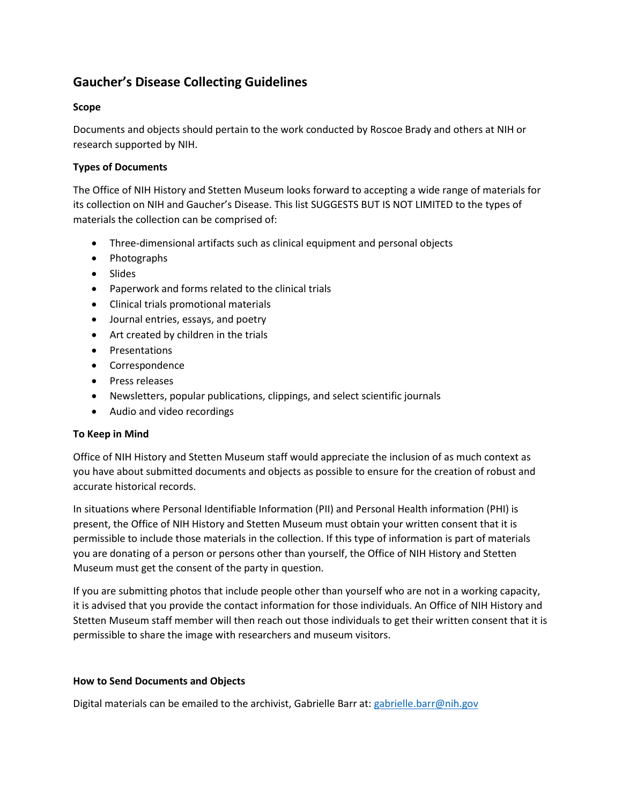# **Gaucher's Disease Collecting Guidelines**

## **Scope**

Documents and objects should pertain to the work conducted by Roscoe Brady and others at NIH or research supported by NIH.

## **Types of Documents**

The Office of NIH History and Stetten Museum looks forward to accepting a wide range of materials for its collection on NIH and Gaucher's Disease. This list SUGGESTS BUT IS NOT LIMITED to the types of materials the collection can be comprised of:

- Three-dimensional artifacts such as clinical equipment and personal objects
- Photographs
- Slides
- Paperwork and forms related to the clinical trials
- Clinical trials promotional materials
- Journal entries, essays, and poetry
- Art created by children in the trials
- Presentations
- Correspondence
- Press releases
- Newsletters, popular publications, clippings, and select scientific journals
- Audio and video recordings

#### **To Keep in Mind**

Office of NIH History and Stetten Museum staff would appreciate the inclusion of as much context as you have about submitted documents and objects as possible to ensure for the creation of robust and accurate historical records.

In situations where Personal Identifiable Information (PII) and Personal Health information (PHI) is present, the Office of NIH History and Stetten Museum must obtain your written consent that it is permissible to include those materials in the collection. If this type of information is part of materials you are donating of a person or persons other than yourself, the Office of NIH History and Stetten Museum must get the consent of the party in question.

If you are submitting photos that include people other than yourself who are not in a working capacity, it is advised that you provide the contact information for those individuals. An Office of NIH History and Stetten Museum staff member will then reach out those individuals to get their written consent that it is permissible to share the image with researchers and museum visitors.

#### **How to Send Documents and Objects**

Digital materials can be emailed to the archivist, Gabrielle Barr at: [gabrielle.barr@nih.gov](mailto:gabrielle.barr@nih.gov)